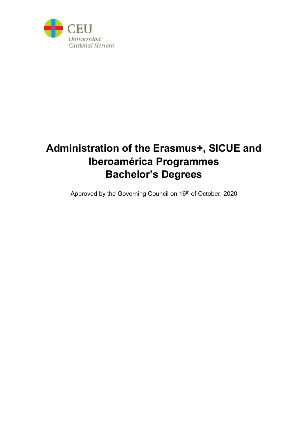

# **Administration of the Erasmus+, SICUE and Iberoamérica Programmes Bachelor's Degrees**

Approved by the Governing Council on 16<sup>th</sup> of October, 2020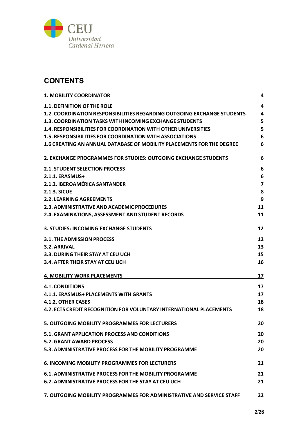

# **CONTENTS**

| <b>1. MOBILITY COORDINATOR</b>                                               | 4                       |
|------------------------------------------------------------------------------|-------------------------|
| <b>1.1. DEFINITION OF THE ROLE</b>                                           | 4                       |
| 1.2. COORDINATION RESPONSIBILITIES REGARDING OUTGOING EXCHANGE STUDENTS      | 4                       |
| <b>1.3. COORDINATION TASKS WITH INCOMING EXCHANGE STUDENTS</b>               | 5                       |
| <b>1.4. RESPONSIBILITIES FOR COORDINATION WITH OTHER UNIVERSITIES</b>        | 5                       |
| <b>1.5. RESPONSIBILITIES FOR COORDINATION WITH ASSOCIATIONS</b>              | 6                       |
| <b>1.6 CREATING AN ANNUAL DATABASE OF MOBILITY PLACEMENTS FOR THE DEGREE</b> | 6                       |
| 2. EXCHANGE PROGRAMMES FOR STUDIES: OUTGOING EXCHANGE STUDENTS               | 6                       |
| <b>2.1. STUDENT SELECTION PROCESS</b>                                        | 6                       |
| 2.1.1. ERASMUS+                                                              | 6                       |
| 2.1.2. IBEROAMÉRICA SANTANDER                                                | $\overline{\mathbf{z}}$ |
| <b>2.1.3. SICUE</b>                                                          | 8                       |
| <b>2.2. LEARNING AGREEMENTS</b>                                              | 9                       |
| 2.3. ADMINISTRATIVE AND ACADEMIC PROCEDURES                                  | 11                      |
| 2.4. EXAMINATIONS, ASSESSMENT AND STUDENT RECORDS                            | 11                      |
| <b>3. STUDIES: INCOMING EXCHANGE STUDENTS</b>                                | 12                      |
| <b>3.1. THE ADMISSION PROCESS</b>                                            | 12                      |
| 3.2. ARRIVAL                                                                 | 13                      |
| 3.3. DURING THEIR STAY AT CEU UCH                                            | 15                      |
| 3.4. AFTER THEIR STAY AT CEU UCH                                             | 16                      |
| <b>4. MOBILITY WORK PLACEMENTS</b>                                           | 17                      |
| <b>4.1. CONDITIONS</b>                                                       | 17                      |
| <b>4.1.1. ERASMUS+ PLACEMENTS WITH GRANTS</b>                                | 17                      |
| 4.1.2. OTHER CASES                                                           | 18                      |
| 4.2. ECTS CREDIT RECOGNITION FOR VOLUNTARY INTERNATIONAL PLACEMENTS          | 18                      |
| 5. OUTGOING MOBILITY PROGRAMMES FOR LECTURERS                                | 20                      |
| 5.1. GRANT APPLICATION PROCESS AND CONDITIONS                                | 20                      |
| <b>5.2. GRANT AWARD PROCESS</b>                                              | 20                      |
| 5.3. ADMINISTRATIVE PROCESS FOR THE MOBILITY PROGRAMME                       | 20                      |
| <b>6. INCOMING MOBILITY PROGRAMMES FOR LECTURERS</b>                         | 21                      |
| <b>6.1. ADMINISTRATIVE PROCESS FOR THE MOBILITY PROGRAMME</b>                | 21                      |
| <b>6.2. ADMINISTRATIVE PROCESS FOR THE STAY AT CEU UCH</b>                   | 21                      |
| 7. OUTGOING MOBILITY PROGRAMMES FOR ADMINISTRATIVE AND SERVICE STAFF         | 22                      |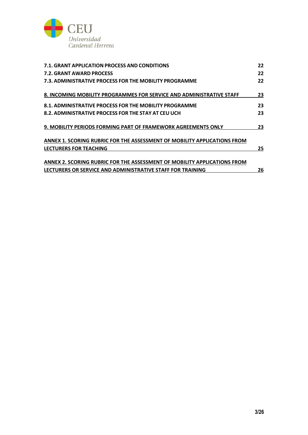

| 7.1. GRANT APPLICATION PROCESS AND CONDITIONS                            | 22 |
|--------------------------------------------------------------------------|----|
| 7.2. GRANT AWARD PROCESS                                                 | 22 |
| 7.3. ADMINISTRATIVE PROCESS FOR THE MOBILITY PROGRAMME                   | 22 |
| 8. INCOMING MOBILITY PROGRAMMES FOR SERVICE AND ADMINISTRATIVE STAFF     | 23 |
| 8.1. ADMINISTRATIVE PROCESS FOR THE MOBILITY PROGRAMME                   | 23 |
| 8.2. ADMINISTRATIVE PROCESS FOR THE STAY AT CEU UCH                      | 23 |
| 9. MOBILITY PERIODS FORMING PART OF FRAMEWORK AGREEMENTS ONLY            | 23 |
| ANNEX 1. SCORING RUBRIC FOR THE ASSESSMENT OF MOBILITY APPLICATIONS FROM |    |
| LECTURERS FOR TEACHING                                                   | 25 |
| ANNEX 2. SCORING RUBRIC FOR THE ASSESSMENT OF MOBILITY APPLICATIONS FROM |    |
| LECTURERS OR SERVICE AND ADMINISTRATIVE STAFF FOR TRAINING               | 26 |
|                                                                          |    |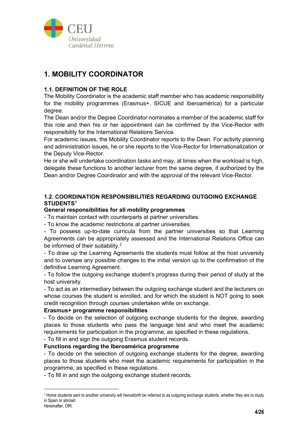

# **1. MOBILITY COORDINATOR**

### **1.1. DEFINITION OF THE ROLE**

The Mobility Coordinator is the academic staff member who has academic responsibility for the mobility programmes (Erasmus+, SICUE and Iberoamérica) for a particular degree.

The Dean and/or the Degree Coordinator nominates a member of the academic staff for this role and then his or her appointment can be confirmed by the Vice-Rector with responsibility for the International Relations Service.

For academic issues, the Mobility Coordinator reports to the Dean. For activity planning and administration issues, he or she reports to the Vice-Rector for Internationalization or the Deputy Vice-Rector.

He or she will undertake coordination tasks and may, at times when the workload is high, delegate these functions to another lecturer from the same degree, if authorized by the Dean and/or Degree Coordinator and with the approval of the relevant Vice-Rector.

### **1.2. COORDINATION RESPONSIBILITIES REGARDING OUTGOING EXCHANGE STUDENTS[1](#page-3-0)**

#### **General responsibilities for all mobility programmes**

- To maintain contact with counterparts at partner universities.

- To know the academic restrictions at partner universities.

- To possess up-to-date curricula from the partner universities so that Learning Agreements can be appropriately assessed and the International Relations Office can be informed of their suitability.<sup>[2](#page-3-1)</sup>

- To draw up the Learning Agreements the students must follow at the host university and to oversee any possible changes to the initial version up to the confirmation of the definitive Learning Agreement.

- To follow the outgoing exchange student's progress during their period of study at the host university.

- To act as an intermediary between the outgoing exchange student and the lecturers on whose courses the student is enrolled, and for which the student is NOT going to seek credit recognition through courses undertaken while on exchange.

#### **Erasmus+ programme responsibilities**

- To decide on the selection of outgoing exchange students for the degree, awarding places to those students who pass the language test and who meet the academic requirements for participation in the programme, as specified in these regulations.

- To fill in and sign the outgoing Erasmus student records.

# **Functions regarding the Iberoamérica programme**

- To decide on the selection of outgoing exchange students for the degree, awarding places to those students who meet the academic requirements for participation in the programme, as specified in these regulations.

- To fill in and sign the outgoing exchange student records.

<span id="page-3-1"></span><span id="page-3-0"></span><sup>1</sup> Home students sent to another university will henceforth be referred to as outgoing exchange students, whether they are to study in Spain or abroad.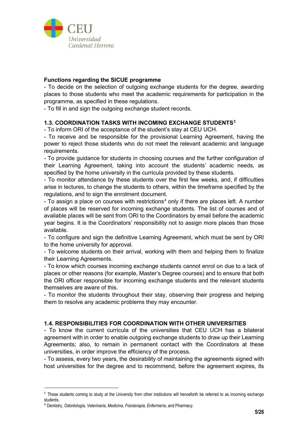

### **Functions regarding the SICUE programme**

- To decide on the selection of outgoing exchange students for the degree, awarding places to those students who meet the academic requirements for participation in the programme, as specified in these regulations.

- To fill in and sign the outgoing exchange student records.

### **1.3. COORDINATION TASKS WITH INCOMING EXCHANGE STUDENTS[3](#page-4-0)**

- To inform ORI of the acceptance of the student's stay at CEU UCH.

- To receive and be responsible for the provisional Learning Agreement, having the power to reject those students who do not meet the relevant academic and language requirements.

- To provide guidance for students in choosing courses and the further configuration of their Learning Agreement, taking into account the students' academic needs, as specified by the home university in the curricula provided by these students.

- To monitor attendance by these students over the first few weeks, and, if difficulties arise in lectures, to change the students to others, within the timeframe specified by the regulations, and to sign the enrolment document.

- To assign a place on courses with restrictions<sup>[4](#page-4-1)</sup> only if there are places left. A number of places will be reserved for incoming exchange students. The list of courses and of available places will be sent from ORI to the Coordinators by email before the academic year begins. It is the Coordinators' responsibility not to assign more places than those available.

- To configure and sign the definitive Learning Agreement, which must be sent by ORI to the home university for approval.

- To welcome students on their arrival, working with them and helping them to finalize their Learning Agreements.

- To know which courses incoming exchange students cannot enrol on due to a lack of places or other reasons (for example, Master's Degree courses) and to ensure that both the ORI officer responsible for incoming exchange students and the relevant students themselves are aware of this.

- To monitor the students throughout their stay, observing their progress and helping them to resolve any academic problems they may encounter.

#### **1.4. RESPONSIBILITIES FOR COORDINATION WITH OTHER UNIVERSITIES**

- To know the current curricula of the universities that CEU UCH has a bilateral agreement with in order to enable outgoing exchange students to draw up their Learning Agreements; also, to remain in permanent contact with the Coordinators at these universities, in order improve the efficiency of the process.

- To assess, every two years, the desirability of maintaining the agreements signed with host universities for the degree and to recommend, before the agreement expires, its

<span id="page-4-0"></span> $3$  Those students coming to study at the University from other institutions will henceforth be referred to as incoming exchange students.

<span id="page-4-1"></span><sup>4</sup> Dentistry, *Odontología*, *Veterinaria*, *Medicina*, *Fisioterapia*, *Enfermería*, and Pharmacy.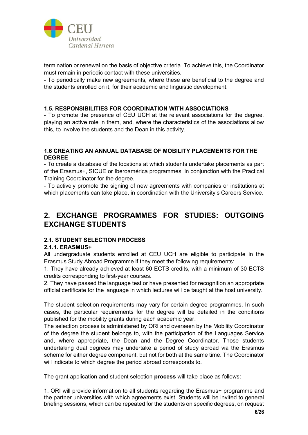

termination or renewal on the basis of objective criteria. To achieve this, the Coordinator must remain in periodic contact with these universities.

- To periodically make new agreements, where these are beneficial to the degree and the students enrolled on it, for their academic and linguistic development.

### **1.5. RESPONSIBILITIES FOR COORDINATION WITH ASSOCIATIONS**

- To promote the presence of CEU UCH at the relevant associations for the degree, playing an active role in them, and, where the characteristics of the associations allow this, to involve the students and the Dean in this activity.

#### **1.6 CREATING AN ANNUAL DATABASE OF MOBILITY PLACEMENTS FOR THE DEGREE**

- To create a database of the locations at which students undertake placements as part of the Erasmus+, SICUE or Iberoamérica programmes, in conjunction with the Practical Training Coordinator for the degree.

- To actively promote the signing of new agreements with companies or institutions at which placements can take place, in coordination with the University's Careers Service.

# **2. EXCHANGE PROGRAMMES FOR STUDIES: OUTGOING EXCHANGE STUDENTS**

# **2.1. STUDENT SELECTION PROCESS**

#### **2.1.1. ERASMUS+**

All undergraduate students enrolled at CEU UCH are eligible to participate in the Erasmus Study Abroad Programme if they meet the following requirements:

1. They have already achieved at least 60 ECTS credits, with a minimum of 30 ECTS credits corresponding to first-year courses.

2. They have passed the language test or have presented for recognition an appropriate official certificate for the language in which lectures will be taught at the host university.

The student selection requirements may vary for certain degree programmes. In such cases, the particular requirements for the degree will be detailed in the conditions published for the mobility grants during each academic year.

The selection process is administered by ORI and overseen by the Mobility Coordinator of the degree the student belongs to, with the participation of the Languages Service and, where appropriate, the Dean and the Degree Coordinator. Those students undertaking dual degrees may undertake a period of study abroad via the Erasmus scheme for either degree component, but not for both at the same time. The Coordinator will indicate to which degree the period abroad corresponds to.

The grant application and student selection **process** will take place as follows:

1. ORI will provide information to all students regarding the Erasmus+ programme and the partner universities with which agreements exist. Students will be invited to general briefing sessions, which can be repeated for the students on specific degrees, on request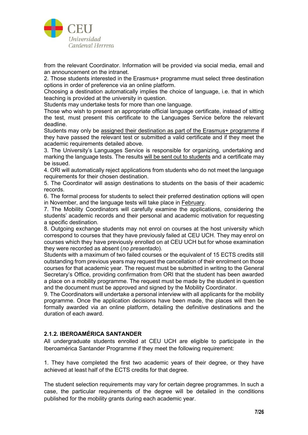

from the relevant Coordinator. Information will be provided via social media, email and an announcement on the intranet.

2. Those students interested in the Erasmus+ programme must select three destination options in order of preference via an online platform.

Choosing a destination automatically implies the choice of language, i.e. that in which teaching is provided at the university in question.

Students may undertake tests for more than one language.

Those who wish to present an appropriate official language certificate, instead of sitting the test, must present this certificate to the Languages Service before the relevant deadline.

Students may only be assigned their destination as part of the Erasmus+ programme if they have passed the relevant test or submitted a valid certificate and if they meet the academic requirements detailed above.

3. The University's Languages Service is responsible for organizing, undertaking and marking the language tests. The results will be sent out to students and a certificate may be issued.

4. ORI will automatically reject applications from students who do not meet the language requirements for their chosen destination.

5. The Coordinator will assign destinations to students on the basis of their academic records.

6. The formal process for students to select their preferred destination options will open in November, and the language tests will take place in February.

7. The Mobility Coordinators will carefully examine the applications, considering the students' academic records and their personal and academic motivation for requesting a specific destination.

8. Outgoing exchange students may not enrol on courses at the host university which correspond to courses that they have previously failed at CEU UCH. They may enrol on courses which they have previously enrolled on at CEU UCH but for whose examination they were recorded as absent (*no presentado*).

Students with a maximum of two failed courses or the equivalent of 15 ECTS credits still outstanding from previous years may request the cancellation of their enrolment on those courses for that academic year. The request must be submitted in writing to the General Secretary's Office, providing confirmation from ORI that the student has been awarded a place on a mobility programme. The request must be made by the student in question and the document must be approved and signed by the Mobility Coordinator.

9. The Coordinators will undertake a personal interview with all applicants for the mobility programme. Once the application decisions have been made, the places will then be formally awarded via an online platform, detailing the definitive destinations and the duration of each award.

#### **2.1.2. IBEROAMÉRICA SANTANDER**

All undergraduate students enrolled at CEU UCH are eligible to participate in the Iberoamérica Santander Programme if they meet the following requirement:

1. They have completed the first two academic years of their degree, or they have achieved at least half of the ECTS credits for that degree.

The student selection requirements may vary for certain degree programmes. In such a case, the particular requirements of the degree will be detailed in the conditions published for the mobility grants during each academic year.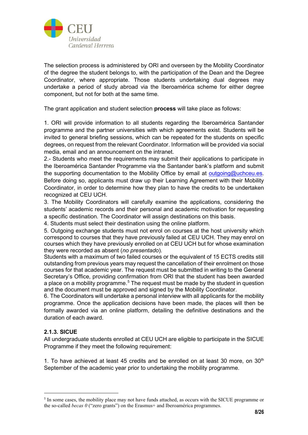

The selection process is administered by ORI and overseen by the Mobility Coordinator of the degree the student belongs to, with the participation of the Dean and the Degree Coordinator, where appropriate. Those students undertaking dual degrees may undertake a period of study abroad via the Iberoamérica scheme for either degree component, but not for both at the same time.

The grant application and student selection **process** will take place as follows:

1. ORI will provide information to all students regarding the Iberoamérica Santander programme and the partner universities with which agreements exist. Students will be invited to general briefing sessions, which can be repeated for the students on specific degrees, on request from the relevant Coordinator. Information will be provided via social media, email and an announcement on the intranet.

2.- Students who meet the requirements may submit their applications to participate in the Iberoamérica Santander Programme via the Santander bank's platform and submit the supporting documentation to the Mobility Office by email at [outgoing@uchceu.es.](mailto:outgoing@uchceu.es) Before doing so, applicants must draw up their Learning Agreement with their Mobility Coordinator, in order to determine how they plan to have the credits to be undertaken recognized at CEU UCH.

3. The Mobility Coordinators will carefully examine the applications, considering the students' academic records and their personal and academic motivation for requesting a specific destination. The Coordinator will assign destinations on this basis.

4. Students must select their destination using the online platform.

5. Outgoing exchange students must not enrol on courses at the host university which correspond to courses that they have previously failed at CEU UCH. They may enrol on courses which they have previously enrolled on at CEU UCH but for whose examination they were recorded as absent (*no presentado*).

Students with a maximum of two failed courses or the equivalent of 15 ECTS credits still outstanding from previous years may request the cancellation of their enrolment on those courses for that academic year. The request must be submitted in writing to the General Secretary's Office, providing confirmation from ORI that the student has been awarded a place on a mobility programme.<sup>[5](#page-7-0)</sup> The request must be made by the student in question and the document must be approved and signed by the Mobility Coordinator.

6. The Coordinators will undertake a personal interview with all applicants for the mobility programme. Once the application decisions have been made, the places will then be formally awarded via an online platform, detailing the definitive destinations and the duration of each award.

# **2.1.3. SICUE**

All undergraduate students enrolled at CEU UCH are eligible to participate in the SICUE Programme if they meet the following requirement:

1. To have achieved at least 45 credits and be enrolled on at least 30 more, on  $30<sup>th</sup>$ September of the academic year prior to undertaking the mobility programme.

<span id="page-7-0"></span><sup>5</sup> In some cases, the mobility place may not have funds attached, as occurs with the SICUE programme or the so-called *becas 0* ("zero grants") on the Erasmus+ and Iberoamérica programmes.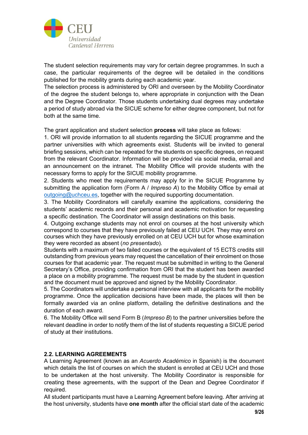

The student selection requirements may vary for certain degree programmes. In such a case, the particular requirements of the degree will be detailed in the conditions published for the mobility grants during each academic year.

The selection process is administered by ORI and overseen by the Mobility Coordinator of the degree the student belongs to, where appropriate in conjunction with the Dean and the Degree Coordinator. Those students undertaking dual degrees may undertake a period of study abroad via the SICUE scheme for either degree component, but not for both at the same time.

The grant application and student selection **process** will take place as follows:

1. ORI will provide information to all students regarding the SICUE programme and the partner universities with which agreements exist. Students will be invited to general briefing sessions, which can be repeated for the students on specific degrees, on request from the relevant Coordinator. Information will be provided via social media, email and an announcement on the intranet. The Mobility Office will provide students with the necessary forms to apply for the SICUE mobility programme.

2. Students who meet the requirements may apply for in the SICUE Programme by submitting the application form (Form A / *Impreso A*) to the Mobility Office by email at [outgoing@uchceu.es,](mailto:outgoing@uchceu.es) together with the required supporting documentation.

3. The Mobility Coordinators will carefully examine the applications, considering the students' academic records and their personal and academic motivation for requesting a specific destination. The Coordinator will assign destinations on this basis.

4. Outgoing exchange students may not enrol on courses at the host university which correspond to courses that they have previously failed at CEU UCH. They may enrol on courses which they have previously enrolled on at CEU UCH but for whose examination they were recorded as absent (*no presentado*).

Students with a maximum of two failed courses or the equivalent of 15 ECTS credits still outstanding from previous years may request the cancellation of their enrolment on those courses for that academic year. The request must be submitted in writing to the General Secretary's Office, providing confirmation from ORI that the student has been awarded a place on a mobility programme. The request must be made by the student in question and the document must be approved and signed by the Mobility Coordinator.

5. The Coordinators will undertake a personal interview with all applicants for the mobility programme. Once the application decisions have been made, the places will then be formally awarded via an online platform, detailing the definitive destinations and the duration of each award.

6. The Mobility Office will send Form B (*Impreso B*) to the partner universities before the relevant deadline in order to notify them of the list of students requesting a SICUE period of study at their institutions.

#### **2.2. LEARNING AGREEMENTS**

A Learning Agreement (known as an *Acuerdo Académico* in Spanish) is the document which details the list of courses on which the student is enrolled at CEU UCH and those to be undertaken at the host university. The Mobility Coordinator is responsible for creating these agreements, with the support of the Dean and Degree Coordinator if required.

All student participants must have a Learning Agreement before leaving. After arriving at the host university, students have **one month** after the official start date of the academic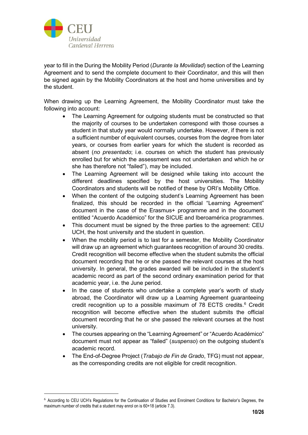

year to fill in the During the Mobility Period (*Durante la Movilidad*) section of the Learning Agreement and to send the complete document to their Coordinator, and this will then be signed again by the Mobility Coordinators at the host and home universities and by the student.

When drawing up the Learning Agreement, the Mobility Coordinator must take the following into account:

- The Learning Agreement for outgoing students must be constructed so that the majority of courses to be undertaken correspond with those courses a student in that study year would normally undertake. However, if there is not a sufficient number of equivalent courses, courses from the degree from later years, or courses from earlier years for which the student is recorded as absent (*no presentado*; i.e. courses on which the student has previously enrolled but for which the assessment was not undertaken and which he or she has therefore not "failed"), may be included.
- The Learning Agreement will be designed while taking into account the different deadlines specified by the host universities. The Mobility Coordinators and students will be notified of these by ORI's Mobility Office.
- When the content of the outgoing student's Learning Agreement has been finalized, this should be recorded in the official "Learning Agreement" document in the case of the Erasmus+ programme and in the document entitled "Acuerdo Académico" for the SICUE and Iberoamérica programmes.
- This document must be signed by the three parties to the agreement: CEU UCH, the host university and the student in question.
- When the mobility period is to last for a semester, the Mobility Coordinator will draw up an agreement which guarantees recognition of around 30 credits. Credit recognition will become effective when the student submits the official document recording that he or she passed the relevant courses at the host university. In general, the grades awarded will be included in the student's academic record as part of the second ordinary examination period for that academic year, i.e. the June period.
- In the case of students who undertake a complete year's worth of study abroad, the Coordinator will draw up a Learning Agreement guaranteeing credit recognition up to a possible maximum of 78 ECTS credits.<sup>[6](#page-9-0)</sup> Credit recognition will become effective when the student submits the official document recording that he or she passed the relevant courses at the host university.
- The courses appearing on the "Learning Agreement" or "Acuerdo Académico" document must not appear as "failed" (*suspenso*) on the outgoing student's academic record.
- The End-of-Degree Project (*Trabajo de Fin de Grado*, TFG) must not appear, as the corresponding credits are not eligible for credit recognition.

<span id="page-9-0"></span><sup>6</sup> According to CEU UCH's Regulations for the Continuation of Studies and Enrolment Conditions for Bachelor's Degrees, the maximum number of credits that a student may enrol on is 60+18 (article 7.3).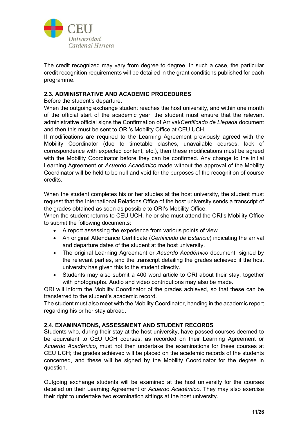

The credit recognized may vary from degree to degree. In such a case, the particular credit recognition requirements will be detailed in the grant conditions published for each programme.

### **2.3. ADMINISTRATIVE AND ACADEMIC PROCEDURES**

Before the student's departure.

When the outgoing exchange student reaches the host university, and within one month of the official start of the academic year, the student must ensure that the relevant administrative official signs the Confirmation of Arrival/*Certificado de Llegada* document and then this must be sent to ORI's Mobility Office at CEU UCH.

If modifications are required to the Learning Agreement previously agreed with the Mobility Coordinator (due to timetable clashes, unavailable courses, lack of correspondence with expected content, etc.), then these modifications must be agreed with the Mobility Coordinator before they can be confirmed. Any change to the initial Learning Agreement or *Acuerdo Académico* made without the approval of the Mobility Coordinator will be held to be null and void for the purposes of the recognition of course credits.

When the student completes his or her studies at the host university, the student must request that the International Relations Office of the host university sends a transcript of the grades obtained as soon as possible to ORI's Mobility Office.

When the student returns to CEU UCH, he or she must attend the ORI's Mobility Office to submit the following documents:

- A report assessing the experience from various points of view.
- An original Attendance Certificate (*Certificado de Estancia*) indicating the arrival and departure dates of the student at the host university.
- The original Learning Agreement or *Acuerdo Académico* document, signed by the relevant parties, and the transcript detailing the grades achieved if the host university has given this to the student directly.
- Students may also submit a 400 word article to ORI about their stay, together with photographs. Audio and video contributions may also be made.

ORI will inform the Mobility Coordinator of the grades achieved, so that these can be transferred to the student's academic record.

The student must also meet with the Mobility Coordinator, handing in the academic report regarding his or her stay abroad.

#### **2.4. EXAMINATIONS, ASSESSMENT AND STUDENT RECORDS**

Students who, during their stay at the host university, have passed courses deemed to be equivalent to CEU UCH courses, as recorded on their Learning Agreement or *Acuerdo Académico*, must not then undertake the examinations for these courses at CEU UCH; the grades achieved will be placed on the academic records of the students concerned, and these will be signed by the Mobility Coordinator for the degree in question.

Outgoing exchange students will be examined at the host university for the courses detailed on their Learning Agreement or *Acuerdo Académico*. They may also exercise their right to undertake two examination sittings at the host university.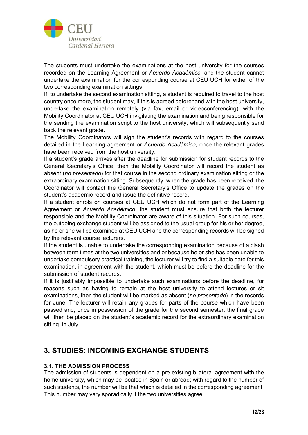

The students must undertake the examinations at the host university for the courses recorded on the Learning Agreement or *Acuerdo Académico*, and the student cannot undertake the examination for the corresponding course at CEU UCH for either of the two corresponding examination sittings.

If, to undertake the second examination sitting, a student is required to travel to the host country once more, the student may, if this is agreed beforehand with the host university, undertake the examination remotely (via fax, email or videoconferencing), with the Mobility Coordinator at CEU UCH invigilating the examination and being responsible for the sending the examination script to the host university, which will subsequently send back the relevant grade.

The Mobility Coordinators will sign the student's records with regard to the courses detailed in the Learning agreement or *Acuerdo Académico*, once the relevant grades have been received from the host university.

If a student's grade arrives after the deadline for submission for student records to the General Secretary's Office, then the Mobility Coordinator will record the student as absent (*no presentado*) for that course in the second ordinary examination sitting or the extraordinary examination sitting. Subsequently, when the grade has been received, the Coordinator will contact the General Secretary's Office to update the grades on the student's academic record and issue the definitive record.

If a student enrols on courses at CEU UCH which do not form part of the Learning Agreement or *Acuerdo Académico*, the student must ensure that both the lecturer responsible and the Mobility Coordinator are aware of this situation. For such courses, the outgoing exchange student will be assigned to the usual group for his or her degree, as he or she will be examined at CEU UCH and the corresponding records will be signed by the relevant course lecturers.

If the student is unable to undertake the corresponding examination because of a clash between term times at the two universities and or because he or she has been unable to undertake compulsory practical training, the lecturer will try to find a suitable date for this examination, in agreement with the student, which must be before the deadline for the submission of student records.

If it is justifiably impossible to undertake such examinations before the deadline, for reasons such as having to remain at the host university to attend lectures or sit examinations, then the student will be marked as absent (*no presentado*) in the records for June. The lecturer will retain any grades for parts of the course which have been passed and, once in possession of the grade for the second semester, the final grade will then be placed on the student's academic record for the extraordinary examination sitting, in July.

# **3. STUDIES: INCOMING EXCHANGE STUDENTS**

# **3.1. THE ADMISSION PROCESS**

The admission of students is dependent on a pre-existing bilateral agreement with the home university, which may be located in Spain or abroad; with regard to the number of such students, the number will be that which is detailed in the corresponding agreement. This number may vary sporadically if the two universities agree.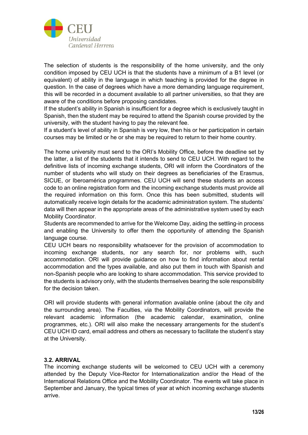

The selection of students is the responsibility of the home university, and the only condition imposed by CEU UCH is that the students have a minimum of a B1 level (or equivalent) of ability in the language in which teaching is provided for the degree in question. In the case of degrees which have a more demanding language requirement, this will be recorded in a document available to all partner universities, so that they are aware of the conditions before proposing candidates.

If the student's ability in Spanish is insufficient for a degree which is exclusively taught in Spanish, then the student may be required to attend the Spanish course provided by the university, with the student having to pay the relevant fee.

If a student's level of ability in Spanish is very low, then his or her participation in certain courses may be limited or he or she may be required to return to their home country.

The home university must send to the ORI's Mobility Office, before the deadline set by the latter, a list of the students that it intends to send to CEU UCH. With regard to the definitive lists of incoming exchange students, ORI will inform the Coordinators of the number of students who will study on their degrees as beneficiaries of the Erasmus, SICUE, or Iberoamérica programmes. CEU UCH will send these students an access code to an online registration form and the incoming exchange students must provide all the required information on this form. Once this has been submitted, students will automatically receive login details for the academic administration system. The students' data will then appear in the appropriate areas of the administrative system used by each Mobility Coordinator.

Students are recommended to arrive for the Welcome Day, aiding the settling-in process and enabling the University to offer them the opportunity of attending the Spanish language course.

CEU UCH bears no responsibility whatsoever for the provision of accommodation to incoming exchange students, nor any search for, nor problems with, such accommodation. ORI will provide guidance on how to find information about rental accommodation and the types available, and also put them in touch with Spanish and non-Spanish people who are looking to share accommodation. This service provided to the students is advisory only, with the students themselves bearing the sole responsibility for the decision taken.

ORI will provide students with general information available online (about the city and the surrounding area). The Faculties, via the Mobility Coordinators, will provide the relevant academic information (the academic calendar, examination, online programmes, etc.). ORI will also make the necessary arrangements for the student's CEU UCH ID card, email address and others as necessary to facilitate the student's stay at the University.

#### **3.2. ARRIVAL**

The incoming exchange students will be welcomed to CEU UCH with a ceremony attended by the Deputy Vice-Rector for Internationalization and/or the Head of the International Relations Office and the Mobility Coordinator. The events will take place in September and January, the typical times of year at which incoming exchange students arrive.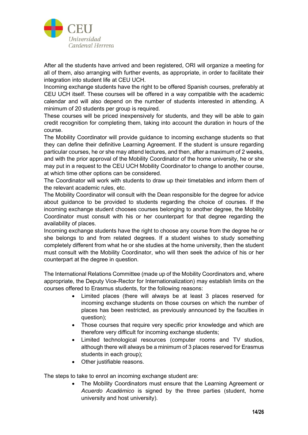

After all the students have arrived and been registered, ORI will organize a meeting for all of them, also arranging with further events, as appropriate, in order to facilitate their integration into student life at CEU UCH.

Incoming exchange students have the right to be offered Spanish courses, preferably at CEU UCH itself. These courses will be offered in a way compatible with the academic calendar and will also depend on the number of students interested in attending. A minimum of 20 students per group is required.

These courses will be priced inexpensively for students, and they will be able to gain credit recognition for completing them, taking into account the duration in hours of the course.

The Mobility Coordinator will provide guidance to incoming exchange students so that they can define their definitive Learning Agreement. If the student is unsure regarding particular courses, he or she may attend lectures, and then, after a maximum of 2 weeks, and with the prior approval of the Mobility Coordinator of the home university, he or she may put in a request to the CEU UCH Mobility Coordinator to change to another course, at which time other options can be considered.

The Coordinator will work with students to draw up their timetables and inform them of the relevant academic rules, etc.

The Mobility Coordinator will consult with the Dean responsible for the degree for advice about guidance to be provided to students regarding the choice of courses. If the incoming exchange student chooses courses belonging to another degree, the Mobility Coordinator must consult with his or her counterpart for that degree regarding the availability of places.

Incoming exchange students have the right to choose any course from the degree he or she belongs to and from related degrees. If a student wishes to study something completely different from what he or she studies at the home university, then the student must consult with the Mobility Coordinator, who will then seek the advice of his or her counterpart at the degree in question.

The International Relations Committee (made up of the Mobility Coordinators and, where appropriate, the Deputy Vice-Rector for Internationalization) may establish limits on the courses offered to Erasmus students, for the following reasons:

- Limited places (there will always be at least 3 places reserved for incoming exchange students on those courses on which the number of places has been restricted, as previously announced by the faculties in question);
- Those courses that require very specific prior knowledge and which are therefore very difficult for incoming exchange students;
- Limited technological resources (computer rooms and TV studios, although there will always be a minimum of 3 places reserved for Erasmus students in each group);
- Other justifiable reasons.

The steps to take to enrol an incoming exchange student are:

The Mobility Coordinators must ensure that the Learning Agreement or *Acuerdo Académico* is signed by the three parties (student, home university and host university).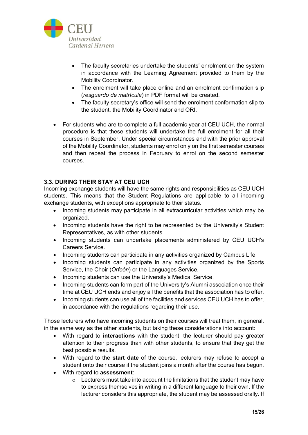

- The faculty secretaries undertake the students' enrolment on the system in accordance with the Learning Agreement provided to them by the Mobility Coordinator.
- The enrolment will take place online and an enrolment confirmation slip (*resguardo de matrícula*) in PDF format will be created.
- The faculty secretary's office will send the enrolment conformation slip to the student, the Mobility Coordinator and ORI.
- For students who are to complete a full academic year at CEU UCH, the normal procedure is that these students will undertake the full enrolment for all their courses in September. Under special circumstances and with the prior approval of the Mobility Coordinator, students may enrol only on the first semester courses and then repeat the process in February to enrol on the second semester courses.

### **3.3. DURING THEIR STAY AT CEU UCH**

Incoming exchange students will have the same rights and responsibilities as CEU UCH students. This means that the Student Regulations are applicable to all incoming exchange students, with exceptions appropriate to their status.

- Incoming students may participate in all extracurricular activities which may be organized.
- Incoming students have the right to be represented by the University's Student Representatives, as with other students.
- Incoming students can undertake placements administered by CEU UCH's Careers Service.
- Incoming students can participate in any activities organized by Campus Life.
- Incoming students can participate in any activities organized by the Sports Service, the Choir (*Orfeón*) or the Languages Service.
- Incoming students can use the University's Medical Service.
- Incoming students can form part of the University's Alumni association once their time at CEU UCH ends and enjoy all the benefits that the association has to offer.
- Incoming students can use all of the facilities and services CEU UCH has to offer, in accordance with the regulations regarding their use.

Those lecturers who have incoming students on their courses will treat them, in general, in the same way as the other students, but taking these considerations into account:

- With regard to **interactions** with the student, the lecturer should pay greater attention to their progress than with other students, to ensure that they get the best possible results.
- With regard to the **start date** of the course, lecturers may refuse to accept a student onto their course if the student joins a month after the course has begun.
- With regard to **assessment**:
	- $\circ$  Lecturers must take into account the limitations that the student may have to express themselves in writing in a different language to their own. If the lecturer considers this appropriate, the student may be assessed orally. If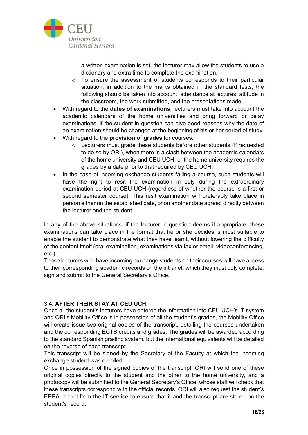

a written examination is set, the lecturer may allow the students to use a dictionary and extra time to complete the examination.

- o To ensure the assessment of students corresponds to their particular situation, in addition to the marks obtained in the standard tests, the following should be taken into account: attendance at lectures, attitude in the classroom, the work submitted, and the presentations made.
- With regard to the **dates of examinations**, lecturers must take into account the academic calendars of the home universities and bring forward or delay examinations, if the student in question can give good reasons why the date of an examination should be changed at the beginning of his or her period of study.
- With regard to the **provision of grades** for courses:
	- o Lecturers must grade these students before other students (if requested to do so by ORI), when there is a clash between the academic calendars of the home university and CEU UCH, or the home university requires the grades by a date prior to that required by CEU UCH.
- In the case of incoming exchange students failing a course, such students will have the right to resit the examination in July during the extraordinary examination period at CEU UCH (regardless of whether the course is a first or second semester course). This resit examination will preferably take place in person either on the established date, or on another date agreed directly between the lecturer and the student.

In any of the above situations, if the lecturer in question deems it appropriate, these examinations can take place in the format that he or she decides is most suitable to enable the student to demonstrate what they have learnt, without lowering the difficulty of the content itself (oral examination, examinations via fax or email, videoconferencing, etc.).

Those lecturers who have incoming exchange students on their courses will have access to their corresponding academic records on the intranet, which they must duly complete, sign and submit to the General Secretary's Office.

# **3.4. AFTER THEIR STAY AT CEU UCH**

Once all the student's lecturers have entered the information into CEU UCH's IT system and ORI's Mobility Office is in possession of all the student's grades, the Mobility Office will create issue two original copies of the transcript, detailing the courses undertaken and the corresponding ECTS credits and grades. The grades will be awarded according to the standard Spanish grading system, but the international equivalents will be detailed on the reverse of each transcript.

This transcript will be signed by the Secretary of the Faculty at which the incoming exchange student was enrolled.

Once in possession of the signed copies of the transcript, ORI will send one of these original copies directly to the student and the other to the home university, and a photocopy will be submitted to the General Secretary's Office, whose staff will check that these transcripts correspond with the official records. ORI will also request the student's ERPA record from the IT service to ensure that it and the transcript are stored on the student's record.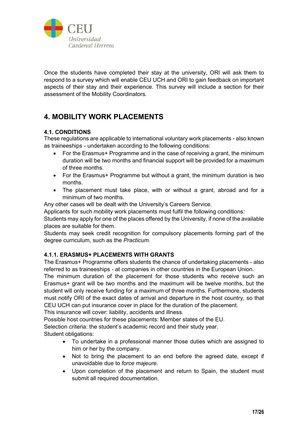

Once the students have completed their stay at the university, ORI will ask them to respond to a survey which will enable CEU UCH and ORI to gain feedback on important aspects of their stay and their experience. This survey will include a section for their assessment of the Mobility Coordinators.

# **4. MOBILITY WORK PLACEMENTS**

# **4.1. CONDITIONS**

These regulations are applicable to international voluntary work placements - also known as traineeships - undertaken according to the following conditions:

- For the Erasmus+ Programme and in the case of receiving a grant, the minimum duration will be two months and financial support will be provided for a maximum of three months.
- For the Erasmus+ Programme but without a grant, the minimum duration is two months.
- The placement must take place, with or without a grant, abroad and for a minimum of two months.

Any other cases will be dealt with the University's Careers Service.

Applicants for such mobility work placements must fulfil the following conditions:

Students may apply for one of the places offered by the University, if none of the available places are suitable for them.

Students may seek credit recognition for compulsory placements forming part of the degree curriculum, such as the *Practicum.* 

# **4.1.1. ERASMUS+ PLACEMENTS WITH GRANTS**

The Erasmus+ Programme offers students the chance of undertaking placements - also referred to as traineeships - at companies in other countries in the European Union.

The minimum duration of the placement for those students who receive such an Erasmus+ grant will be two months and the maximum will be twelve months, but the student will only receive funding for a maximum of three months. Furthermore, students must notify ORI of the exact dates of arrival and departure in the host country, so that CEU UCH can put insurance cover in place for the duration of the placement.

This insurance will cover: liability, accidents and illness.

Possible host countries for these placements: Member states of the EU.

Selection criteria: the student's academic record and their study year. Student obligations:

- To undertake in a professional manner those duties which are assigned to him or her by the company.
- Not to bring the placement to an end before the agreed date, except if unavoidable due to *force majeure*.
- Upon completion of the placement and return to Spain, the student must submit all required documentation.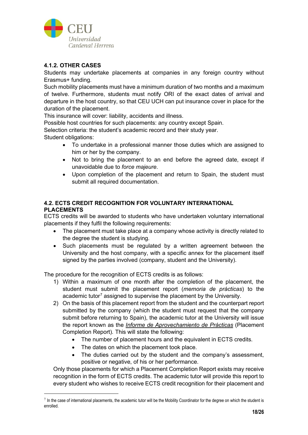

# **4.1.2. OTHER CASES**

Students may undertake placements at companies in any foreign country without Erasmus+ funding.

Such mobility placements must have a minimum duration of two months and a maximum of twelve. Furthermore, students must notify ORI of the exact dates of arrival and departure in the host country, so that CEU UCH can put insurance cover in place for the duration of the placement.

This insurance will cover: liability, accidents and illness.

Possible host countries for such placements: any country except Spain.

Selection criteria: the student's academic record and their study year.

Student obligations:

- To undertake in a professional manner those duties which are assigned to him or her by the company.
- Not to bring the placement to an end before the agreed date, except if unavoidable due to *force majeure*.
- Upon completion of the placement and return to Spain, the student must submit all required documentation.

### **4.2. ECTS CREDIT RECOGNITION FOR VOLUNTARY INTERNATIONAL PLACEMENTS**

ECTS credits will be awarded to students who have undertaken voluntary international placements if they fulfil the following requirements:

- The placement must take place at a company whose activity is directly related to the degree the student is studying.
- Such placements must be regulated by a written agreement between the University and the host company, with a specific annex for the placement itself signed by the parties involved (company, student and the University).

The procedure for the recognition of ECTS credits is as follows:

- 1) Within a maximum of one month after the completion of the placement, the student must submit the placement report (*memoria de prácticas*) to the academic tutor<sup>[7](#page-17-0)</sup> assigned to supervise the placement by the University.
- 2) On the basis of this placement report from the student and the counterpart report submitted by the company (which the student must request that the company submit before returning to Spain), the academic tutor at the University will issue the report known as the *Informe de Aprovechamiento de Prácticas* (Placement Completion Report)*.* This will state the following:
	- The number of placement hours and the equivalent in ECTS credits.
	- The dates on which the placement took place.
	- The duties carried out by the student and the company's assessment, positive or negative, of his or her performance.

Only those placements for which a Placement Completion Report exists may receive recognition in the form of ECTS credits. The academic tutor will provide this report to every student who wishes to receive ECTS credit recognition for their placement and

<span id="page-17-0"></span> $7$  In the case of international placements, the academic tutor will be the Mobility Coordinator for the degree on which the student is enrolled.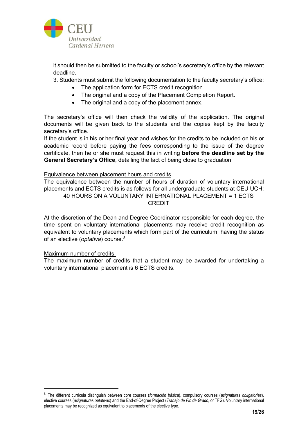

it should then be submitted to the faculty or school's secretary's office by the relevant deadline.

3. Students must submit the following documentation to the faculty secretary's office:

- The application form for ECTS credit recognition.
- The original and a copy of the Placement Completion Report.
- The original and a copy of the placement annex.

The secretary's office will then check the validity of the application. The original documents will be given back to the students and the copies kept by the faculty secretary's office.

If the student is in his or her final year and wishes for the credits to be included on his or academic record before paying the fees corresponding to the issue of the degree certificate, then he or she must request this in writing **before the deadline set by the General Secretary's Office**, detailing the fact of being close to graduation.

#### Equivalence between placement hours and credits

The equivalence between the number of hours of duration of voluntary international placements and ECTS credits is as follows for all undergraduate students at CEU UCH: 40 HOURS ON A VOLUNTARY INTERNATIONAL PLACEMENT = 1 ECTS CREDIT

At the discretion of the Dean and Degree Coordinator responsible for each degree, the time spent on voluntary international placements may receive credit recognition as equivalent to voluntary placements which form part of the curriculum, having the status of an elective (*optativa*) course.[8](#page-18-0)

#### Maximum number of credits:

The maximum number of credits that a student may be awarded for undertaking a voluntary international placement is 6 ECTS credits.

<span id="page-18-0"></span><sup>8</sup> The different curricula distinguish between core courses (*formación básica*), compulsory courses (*asignaturas obligatorias*), elective courses (*asignaturas optativas*) and the End-of-Degree Project (*Trabajo de Fin de Grado*, or TFG). Voluntary international placements may be recognized as equivalent to placements of the elective type.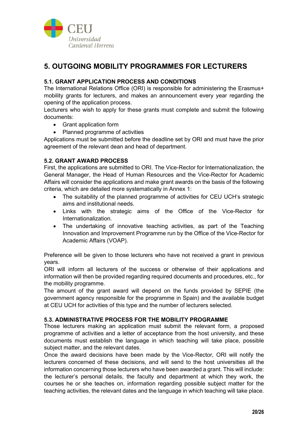

# **5. OUTGOING MOBILITY PROGRAMMES FOR LECTURERS**

# **5.1. GRANT APPLICATION PROCESS AND CONDITIONS**

The International Relations Office (ORI) is responsible for administering the Erasmus+ mobility grants for lecturers, and makes an announcement every year regarding the opening of the application process.

Lecturers who wish to apply for these grants must complete and submit the following documents:

- Grant application form
- Planned programme of activities

Applications must be submitted before the deadline set by ORI and must have the prior agreement of the relevant dean and head of department.

### **5.2. GRANT AWARD PROCESS**

First, the applications are submitted to ORI. The Vice-Rector for Internationalization, the General Manager, the Head of Human Resources and the Vice-Rector for Academic Affairs will consider the applications and make grant awards on the basis of the following criteria, which are detailed more systematically in Annex 1:

- The suitability of the planned programme of activities for CEU UCH's strategic aims and institutional needs.
- Links with the strategic aims of the Office of the Vice-Rector for Internationalization.
- The undertaking of innovative teaching activities, as part of the Teaching Innovation and Improvement Programme run by the Office of the Vice-Rector for Academic Affairs (VOAP).

Preference will be given to those lecturers who have not received a grant in previous years.

ORI will inform all lecturers of the success or otherwise of their applications and information will then be provided regarding required documents and procedures, etc., for the mobility programme.

The amount of the grant award will depend on the funds provided by SEPIE (the government agency responsible for the programme in Spain) and the available budget at CEU UCH for activities of this type and the number of lecturers selected.

### **5.3. ADMINISTRATIVE PROCESS FOR THE MOBILITY PROGRAMME**

Those lecturers making an application must submit the relevant form, a proposed programme of activities and a letter of acceptance from the host university, and these documents must establish the language in which teaching will take place, possible subject matter, and the relevant dates.

Once the award decisions have been made by the Vice-Rector, ORI will notify the lecturers concerned of these decisions, and will send to the host universities all the information concerning those lecturers who have been awarded a grant. This will include: the lecturer's personal details, the faculty and department at which they work, the courses he or she teaches on, information regarding possible subject matter for the teaching activities, the relevant dates and the language in which teaching will take place.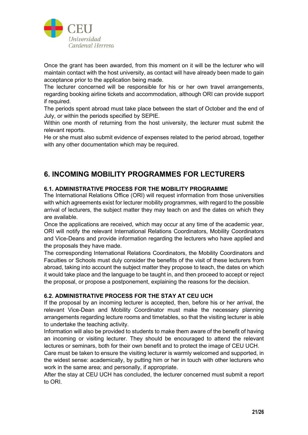

Once the grant has been awarded, from this moment on it will be the lecturer who will maintain contact with the host university, as contact will have already been made to gain acceptance prior to the application being made.

The lecturer concerned will be responsible for his or her own travel arrangements, regarding booking airline tickets and accommodation, although ORI can provide support if required.

The periods spent abroad must take place between the start of October and the end of July, or within the periods specified by SEPIE.

Within one month of returning from the host university, the lecturer must submit the relevant reports.

He or she must also submit evidence of expenses related to the period abroad, together with any other documentation which may be required.

# **6. INCOMING MOBILITY PROGRAMMES FOR LECTURERS**

# **6.1. ADMINISTRATIVE PROCESS FOR THE MOBILITY PROGRAMME**

The International Relations Office (ORI) will request information from those universities with which agreements exist for lecturer mobility programmes, with regard to the possible arrival of lecturers, the subject matter they may teach on and the dates on which they are available.

Once the applications are received, which may occur at any time of the academic year, ORI will notify the relevant International Relations Coordinators, Mobility Coordinators and Vice-Deans and provide information regarding the lecturers who have applied and the proposals they have made.

The corresponding International Relations Coordinators, the Mobility Coordinators and Faculties or Schools must duly consider the benefits of the visit of these lecturers from abroad, taking into account the subject matter they propose to teach, the dates on which it would take place and the language to be taught in, and then proceed to accept or reject the proposal, or propose a postponement, explaining the reasons for the decision.

# **6.2. ADMINISTRATIVE PROCESS FOR THE STAY AT CEU UCH**

If the proposal by an incoming lecturer is accepted, then, before his or her arrival, the relevant Vice-Dean and Mobility Coordinator must make the necessary planning arrangements regarding lecture rooms and timetables, so that the visiting lecturer is able to undertake the teaching activity.

Information will also be provided to students to make them aware of the benefit of having an incoming or visiting lecturer. They should be encouraged to attend the relevant lectures or seminars, both for their own benefit and to protect the image of CEU UCH.

Care must be taken to ensure the visiting lecturer is warmly welcomed and supported, in the widest sense: academically, by putting him or her in touch with other lecturers who work in the same area; and personally, if appropriate.

After the stay at CEU UCH has concluded, the lecturer concerned must submit a report to ORI.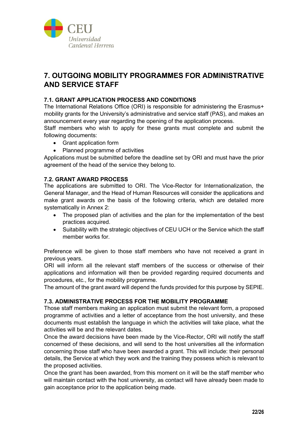

# **7. OUTGOING MOBILITY PROGRAMMES FOR ADMINISTRATIVE AND SERVICE STAFF**

# **7.1. GRANT APPLICATION PROCESS AND CONDITIONS**

The International Relations Office (ORI) is responsible for administering the Erasmus+ mobility grants for the University's administrative and service staff (PAS), and makes an announcement every year regarding the opening of the application process.

Staff members who wish to apply for these grants must complete and submit the following documents:

- Grant application form
- Planned programme of activities

Applications must be submitted before the deadline set by ORI and must have the prior agreement of the head of the service they belong to.

### **7.2. GRANT AWARD PROCESS**

The applications are submitted to ORI. The Vice-Rector for Internationalization, the General Manager, and the Head of Human Resources will consider the applications and make grant awards on the basis of the following criteria, which are detailed more systematically in Annex 2:

- The proposed plan of activities and the plan for the implementation of the best practices acquired.
- Suitability with the strategic objectives of CEU UCH or the Service which the staff member works for.

Preference will be given to those staff members who have not received a grant in previous years.

ORI will inform all the relevant staff members of the success or otherwise of their applications and information will then be provided regarding required documents and procedures, etc., for the mobility programme.

The amount of the grant award will depend the funds provided for this purpose by SEPIE.

#### **7.3. ADMINISTRATIVE PROCESS FOR THE MOBILITY PROGRAMME**

Those staff members making an application must submit the relevant form, a proposed programme of activities and a letter of acceptance from the host university, and these documents must establish the language in which the activities will take place, what the activities will be and the relevant dates.

Once the award decisions have been made by the Vice-Rector, ORI will notify the staff concerned of these decisions, and will send to the host universities all the information concerning those staff who have been awarded a grant. This will include: their personal details, the Service at which they work and the training they possess which is relevant to the proposed activities.

Once the grant has been awarded, from this moment on it will be the staff member who will maintain contact with the host university, as contact will have already been made to gain acceptance prior to the application being made.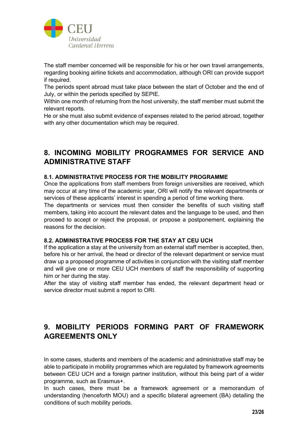

The staff member concerned will be responsible for his or her own travel arrangements, regarding booking airline tickets and accommodation, although ORI can provide support if required.

The periods spent abroad must take place between the start of October and the end of July, or within the periods specified by SEPIE.

Within one month of returning from the host university, the staff member must submit the relevant reports.

He or she must also submit evidence of expenses related to the period abroad, together with any other documentation which may be required.

# **8. INCOMING MOBILITY PROGRAMMES FOR SERVICE AND ADMINISTRATIVE STAFF**

### **8.1. ADMINISTRATIVE PROCESS FOR THE MOBILITY PROGRAMME**

Once the applications from staff members from foreign universities are received, which may occur at any time of the academic year, ORI will notify the relevant departments or services of these applicants' interest in spending a period of time working there.

The departments or services must then consider the benefits of such visiting staff members, taking into account the relevant dates and the language to be used, and then proceed to accept or reject the proposal, or propose a postponement, explaining the reasons for the decision.

# **8.2. ADMINISTRATIVE PROCESS FOR THE STAY AT CEU UCH**

If the application a stay at the university from an external staff member is accepted, then, before his or her arrival, the head or director of the relevant department or service must draw up a proposed programme of activities in conjunction with the visiting staff member and will give one or more CEU UCH members of staff the responsibility of supporting him or her during the stay.

After the stay of visiting staff member has ended, the relevant department head or service director must submit a report to ORI.

# **9. MOBILITY PERIODS FORMING PART OF FRAMEWORK AGREEMENTS ONLY**

In some cases, students and members of the academic and administrative staff may be able to participate in mobility programmes which are regulated by framework agreements between CEU UCH and a foreign partner institution, without this being part of a wider programme, such as Erasmus+.

In such cases, there must be a framework agreement or a memorandum of understanding (henceforth MOU) and a specific bilateral agreement (BA) detailing the conditions of such mobility periods.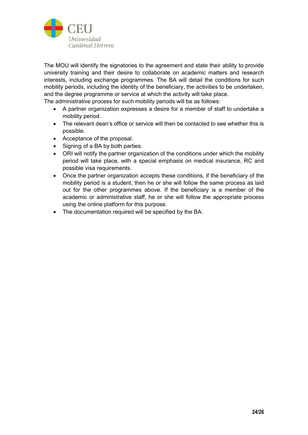

The MOU will identify the signatories to the agreement and state their ability to provide university training and their desire to collaborate on academic matters and research interests, including exchange programmes. The BA will detail the conditions for such mobility periods, including the identity of the beneficiary, the activities to be undertaken, and the degree programme or service at which the activity will take place.

The administrative process for such mobility periods will be as follows:

- A partner organization expresses a desire for a member of staff to undertake a mobility period.
- The relevant dean's office or service will then be contacted to see whether this is possible.
- Acceptance of the proposal.
- Signing of a BA by both parties.
- ORI will notify the partner organization of the conditions under which the mobility period will take place, with a special emphasis on medical insurance, RC and possible visa requirements.
- Once the partner organization accepts these conditions, if the beneficiary of the mobility period is a student, then he or she will follow the same process as laid out for the other programmes above. If the beneficiary is a member of the academic or administrative staff, he or she will follow the appropriate process using the online platform for this purpose.
- The documentation required will be specified by the BA.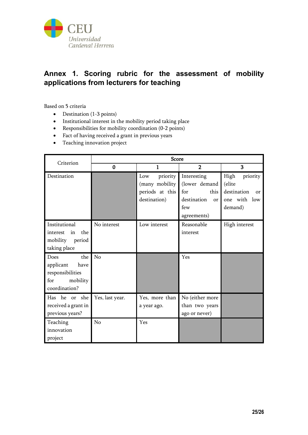

# **Annex 1. Scoring rubric for the assessment of mobility applications from lecturers for teaching**

Based on 5 criteria

- Destination (1-3 points)
- Institutional interest in the mobility period taking place
- Responsibilities for mobility coordination (0-2 points)
- Fact of having received a grant in previous years
- Teaching innovation project

| Criterion                                                                                | <b>Score</b>    |                                                                      |                                                                                        |                                                                            |
|------------------------------------------------------------------------------------------|-----------------|----------------------------------------------------------------------|----------------------------------------------------------------------------------------|----------------------------------------------------------------------------|
|                                                                                          | $\bf{0}$        | $\mathbf{1}$                                                         | $\overline{2}$                                                                         | 3                                                                          |
| Destination                                                                              |                 | priority<br>Low<br>(many mobility<br>periods at this<br>destination) | Interesting<br>(lower demand<br>for<br>this<br>destination<br>or<br>few<br>agreements) | High<br>priority<br>(elite<br>destination<br>or<br>one with low<br>demand) |
| Institutional<br>the<br>in<br>interest<br>mobility period<br>taking place                | No interest     | Low interest                                                         | Reasonable<br>interest                                                                 | High interest                                                              |
| the<br>Does<br>have<br>applicant<br>responsibilities<br>for<br>mobility<br>coordination? | No              |                                                                      | Yes                                                                                    |                                                                            |
| Has he or she<br>received a grant in<br>previous years?                                  | Yes, last year. | Yes, more than<br>a year ago.                                        | No (either more<br>than two years<br>ago or never)                                     |                                                                            |
| Teaching<br>innovation<br>project                                                        | No              | Yes                                                                  |                                                                                        |                                                                            |